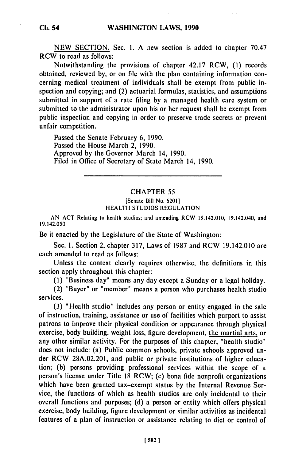NEW SECTION. Sec. **1.** A new section is added to chapter 70.47 RCW to read as follows:

Notwithstanding the provisions of chapter 42.17 RCW, (I) records obtained, reviewed by, or on file with the plan containing information concerning medical treatment of individuals shall be exempt from public inspection and copying; and (2) actuarial formulas, statistics, and assumptions submitted in support of a rate filing by a managed health care system or submitted to the administrator upon his or her request shall be exempt from public inspection and copying in order to preserve trade secrets or prevent unfair competition.

Passed the Senate February 6, 1990. Passed the House March 2, 1990. Approved by the Governor March 14, 1990. Filed in Office of Secretary of State March 14, 1990.

#### CHAPTER 55

#### [Senate Bill No. 62011 HEALTH STUDIOS REGULATION

AN ACT Relating to health studios; and amending RCW 19.142.010, 19.142.040, and 19.142.050.

Be it enacted by the Legislature of the State of Washington:

Sec. 1. Section 2, chapter 317, Laws of 1987 and RCW 19.142.010 are each amended to read as follows:

Unless the context clearly requires otherwise, the definitions in this section apply throughout this chapter:

(1) "Business day" means any day except a Sunday or a legal holiday.

(2) 'Buyer' or 'member" means a person who purchases health studio services.

(3) 'Health studio" includes any person or entity engaged in the sale of instruction, training, assistance or use of facilities which purport to assist patrons to improve their physical condition or appearance through physical exercise, body building, weight loss, figure development, the martial arts, or any other similar activity. For the purposes of this chapter, 'health studio' does not include: (a) Public common schools, private schools approved under RCW 28A.02.201, and public or private institutions of higher education; (b) persons providing professional services within the scope of a person's license under Title 18 RCW; (c) bona fide nonprofit organizations which have been granted tax-exempt status by the Internal Revenue Service, the functions of which as health studios are only incidental to their overall functions and purposes; (d) a person or entity which offers physical exercise, body building, figure development or similar activities as incidental features of a plan of instruction or assistance relating to diet or control of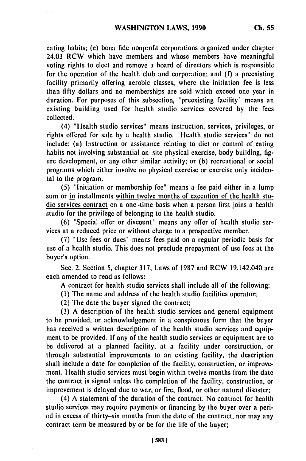eating habits; **(c)** bona fide nonprofit corporations organized under chapter 24.03 RCW which have members and whose members have meaningful voting rights to elect and remove a board of directors which is responsible for the operation of the health club and corporation; and (f) a preexisting facility primarily offering aerobic classes, where the initiation fee is less than fifty dollars and no memberships are sold which exceed one year in duration. For purposes of this subsection, "preexisting facility" means an existing building used for health studio services covered by the fees collected.

(4) "Health studio services" means instruction, services, privileges, or rights offered for sale by a health studio. "Health studio services" do not include: (a) Instruction or assistance relating to diet or control of eating habits not involving substantial on-site physical exercise, body building, figure development, or any other similar activity; or (b) recreational or social programs which either involve no physical exercise or exercise only incidental to the program.

(5) "Initiation or membership fee" means a fee paid either in a lump sum or in installments within twelve months of execution of the health studio services contract on a one-time basis when a person first joins a health studio for the privilege of belonging to the health studio.

(6) "Special offer or discount" means any offer of health studio services at a reduced price or without charge to a prospective member.

(7) "Use fees or dues" means fees paid on a regular periodic basis for use of a health studio. This does not preclude prepayment of use fees at the buyer's option.

Sec. 2. Section 5, chapter 317, Laws of 1987 and RCW 19.142.040 are each amended to read as follows:

A contract for health studio services shall include all of the following:

**(1)** The name and address of the health studio facilities operator;

(2) The date the buyer signed the contract;

(3) A description of the health studio services and general equipment to be provided, or acknowledgement in a conspicuous form that the buyer has received a written description of the health studio services and equipment to be provided. If any of the health studio services or equipment are to be delivered at a planned facility, at a facility under construction, or through substantial improvements to an existing facility, the description shall include a date for completion of the facility, construction, or improvement. Health studio services must begin within twelve months from the date the contract is signed unless the completion of the facility, construction, or improvement is delayed due to war, or fire, flood, or other natural disaster;

(4) A statement of the duration of the contract. No contract for health studio services may require payments or financing by the buyer over a period in excess of thirty-six months from the date of the contract, nor may any contract term be measured by or be for the life of the buyer;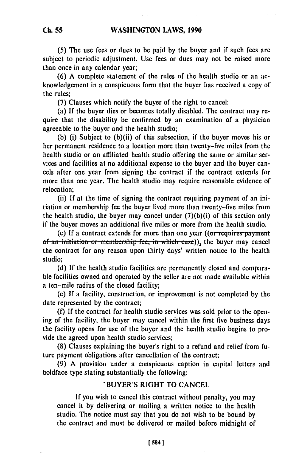**(5)** The use fees or dues to be paid **by** the buyer and if such fees are subject to periodic adjustment. Use fees or dues may not be raised more than once in any calendar year;

**(6) A** complete statement of the rules of the health studio or an acknowledgement in a conspicuous form that the buyer has received a copy of the rules;

**(7)** Clauses which notify the buyer of the right to cancel:

(a) **If** the buyer dies or becomes totally disabled. The contract may require that the disability be confirmed **by** an examination of a physician agreeable to the buyer and the health studio;

**(b)** (i) Subject to (b)(ii) of this subsection, if the buyer moves his or her permanent residence to a location more than twenty-five miles from the health studio or an affiliated health studio offering the same or similar services and facilities at no additional expense to the buyer and the buyer cancels after one year from signing the contract if the contract extends for more than one year. The health studio may require reasonable evidence of relocation;

(ii) **If** at the time of signing the contract requiring payment of an initiation or membership fee the buyer lived more than twenty-five miles from the health studio, the buyer may cancel under (7)(b)(i) of this section only if the buyer moves an additional five miles or more from the health studio.

(c) If a contract extends for more than one year ((or requires payment **of an initiation or membership fee, in which case)), the buyer may cancel** the contract for any reason upon thirty days' written notice to the health studio;

**(d) If** the health studio facilities are permanently closed and comparable facilities owned and operated **by** the seller are not made available within a ten-mile radius of the closed facility;

(e) **If** a facility, construction, or improvement is not completed **by** the date represented **by** the contract;

**(f) If** the contract for health studio services was sold prior to the opening of the facility, the buyer may cancel within the first five business days the facility opens for use of the buyer and the health studio begins to provide the agreed upon health studio services;

**(8)** Clauses explaining the buyer's right to a refund and relief from future payment obligations after cancellation of the contract;

**(9) A** provision under a conspicuous caption in capital letters and boldface type stating substantially the following:

# "BUYER'S RIGHT TO **CANCEL**

**If** you wish to cancel this contract without penalty, you may cancel it **by** delivering or mailing a written notice to the health studio. The notice must say that you do not wish to be bound **by** the contract and must **be** delivered or mailed before midnight of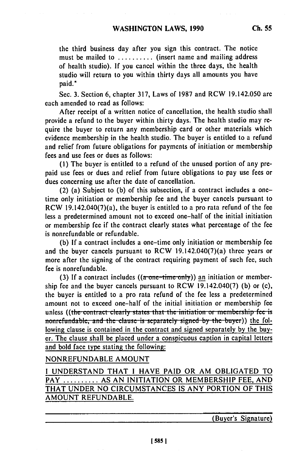the third business day after you sign this contract. The notice must be mailed to ............ (insert name and mailing address of health studio). If you cancel within the three days, the health studio will return to you within thirty days all amounts you have paid."

Sec. 3. Section 6, chapter 317, Laws of 1987 and RCW 19.142.050 are each amended to read as follows:

After receipt of a written notice of cancellation, the health studio shall provide a refund to the buyer within thirty days. The health studio may require the buyer to return any membership card or other materials which evidence membership in the health studio. The buyer is entitled to a refund and relief from future obligations for payments of initiation or membership fees and use fees or dues as follows:

(1) The buyer is entitled to a refund of the unused portion of any prepaid use fees or dues and relief from future obligations to pay use fees or dues concerning use after the date of cancellation.

(2) (a) Subject to (b) of this subsection, if a contract includes a onetime only initiation or membership fee and the buyer cancels pursuant to RCW 19.142.040(7)(a), the buyer is entitled to a pro rata refund of the fee less a predetermined amount not to exceed one-half of the initial initiation or membership fee if the contract clearly states what percentage of the fee is nonrefundable or refundable.

(b) **If** a contract includes a one-time only initiation or membership fee and the buyer cancels pursuant to RCW 19.142.040(7)(a) three years or more after the signing of the contract requiring payment of such fee, such fee is nonrefundable.

**(3)** If a contract includes ((a one-time only)) an initiation or membership fee and the buyer cancels pursuant to RCW 19.142.040(7) (b) or (c), the buyer is entitled to a pro rata refund of the **fee** less a predetermined amount not to exceed one-half of the initial initiation or membership fee unless ((the contract clearly states that the initiation or membership fee is **nonrefundable, and the clause is separately signed by the buyer)) the fol**lowing clause is contained in the contract and signed separately **by** the buyer. The clause shall be placed under a conspicuous caption in capital letters and bold face type stating the following:

# NONREFUNDABLE AMOUNT

I UNDERSTAND THAT I HAVE PAID OR AM OBLIGATED TO PAY **..........** AS AN INITIATION OR MEMBERSHIP FEE, AND THAT UNDER NO CIRCUMSTANCES IS ANY PORTION OF THIS AMOUNT REFUNDABLE.

(Buyer's Signature)